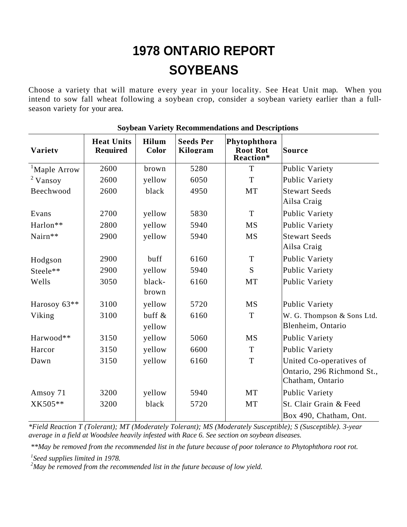## **1978 ONTARIO REPORT SOYBEANS**

Choose a variety that will mature every year in your locality. See Heat Unit map. When you intend to sow fall wheat following a soybean crop, consider a soybean variety earlier than a fullseason variety for your area.

| <b>Variety</b>           | <b>Heat Units</b><br><b>Required</b> | <b>Hilum</b><br>Color | <b>Seeds Per</b><br>Kilogram | Phytophthora<br><b>Root Rot</b><br>Reaction* | <b>Source</b>                                  |
|--------------------------|--------------------------------------|-----------------------|------------------------------|----------------------------------------------|------------------------------------------------|
| <sup>1</sup> Maple Arrow | 2600                                 | brown                 | 5280                         | T                                            | Public Variety                                 |
| $2$ Vansoy               | 2600                                 | yellow                | 6050                         | $\mathbf T$                                  | Public Variety                                 |
| Beechwood                | 2600                                 | black                 | 4950                         | MT                                           | <b>Stewart Seeds</b>                           |
|                          |                                      |                       |                              |                                              | Ailsa Craig                                    |
| Evans                    | 2700                                 | yellow                | 5830                         | T                                            | Public Variety                                 |
| Harlon**                 | 2800                                 | yellow                | 5940                         | <b>MS</b>                                    | Public Variety                                 |
| Nairn**                  | 2900                                 | yellow                | 5940                         | <b>MS</b>                                    | <b>Stewart Seeds</b>                           |
|                          |                                      |                       |                              |                                              | Ailsa Craig                                    |
| Hodgson                  | 2900                                 | buff                  | 6160                         | $\mathbf T$                                  | Public Variety                                 |
| Steele**                 | 2900                                 | yellow                | 5940                         | S                                            | Public Variety                                 |
| Wells                    | 3050                                 | black-                | 6160                         | MT                                           | Public Variety                                 |
|                          |                                      | brown                 |                              |                                              |                                                |
| Harosoy 63**             | 3100                                 | yellow                | 5720                         | <b>MS</b>                                    | Public Variety                                 |
| Viking                   | 3100                                 | buff &                | 6160                         | $\mathbf T$                                  | W. G. Thompson & Sons Ltd.                     |
|                          |                                      | yellow                |                              |                                              | Blenheim, Ontario                              |
| Harwood**                | 3150                                 | yellow                | 5060                         | <b>MS</b>                                    | Public Variety                                 |
| Harcor                   | 3150                                 | yellow                | 6600                         | T                                            | Public Variety                                 |
| Dawn                     | 3150                                 | yellow                | 6160                         | T                                            | United Co-operatives of                        |
|                          |                                      |                       |                              |                                              | Ontario, 296 Richmond St.,<br>Chatham, Ontario |
| Amsoy 71                 | 3200                                 | yellow                | 5940                         | MT                                           | Public Variety                                 |
| XK505**                  | 3200                                 | black                 | 5720                         | MT                                           | St. Clair Grain & Feed                         |
|                          |                                      |                       |                              |                                              | Box 490, Chatham, Ont.                         |

## **Soybean Variety Recommendations and Descriptions**

*\*Field Reaction T (Tolerant); MT (Moderately Tolerant); MS (Moderately Susceptible); S (Susceptible). 3-year average in a field at Woodslee heavily infested with Race 6. See section on soybean diseases.*

*\*\*May be removed from the recommended list in the future because of poor tolerance to Phytophthora root rot.*

*1 Seed supplies limited in 1978.*

*<sup>2</sup>May be removed from the recommended list in the future because of low yield.*